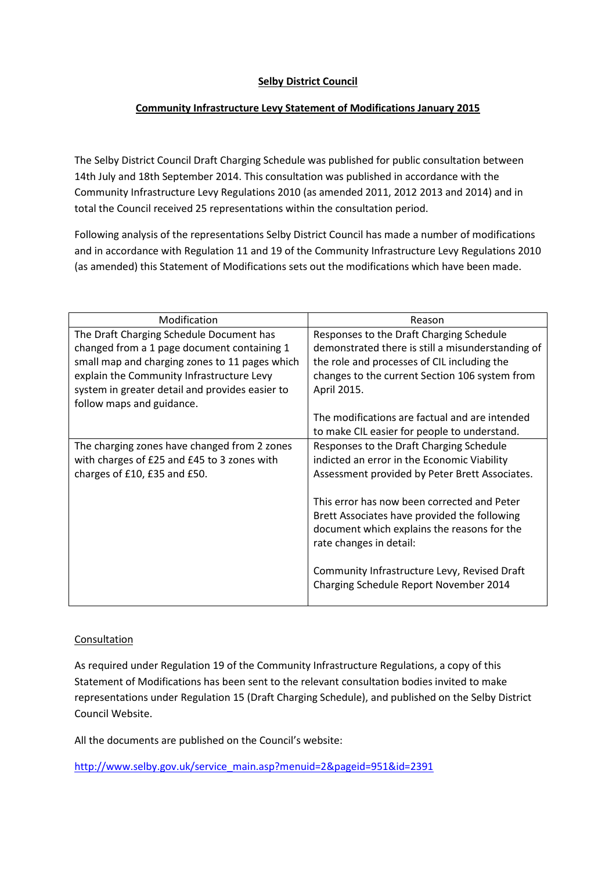## **Selby District Council**

## **Community Infrastructure Levy Statement of Modifications January 2015**

The Selby District Council Draft Charging Schedule was published for public consultation between 14th July and 18th September 2014. This consultation was published in accordance with the Community Infrastructure Levy Regulations 2010 (as amended 2011, 2012 2013 and 2014) and in total the Council received 25 representations within the consultation period.

Following analysis of the representations Selby District Council has made a number of modifications and in accordance with Regulation 11 and 19 of the Community Infrastructure Levy Regulations 2010 (as amended) this Statement of Modifications sets out the modifications which have been made.

| Modification                                    | Reason                                            |
|-------------------------------------------------|---------------------------------------------------|
| The Draft Charging Schedule Document has        | Responses to the Draft Charging Schedule          |
| changed from a 1 page document containing 1     | demonstrated there is still a misunderstanding of |
| small map and charging zones to 11 pages which  | the role and processes of CIL including the       |
| explain the Community Infrastructure Levy       | changes to the current Section 106 system from    |
| system in greater detail and provides easier to | April 2015.                                       |
| follow maps and guidance.                       |                                                   |
|                                                 | The modifications are factual and are intended    |
|                                                 | to make CIL easier for people to understand.      |
| The charging zones have changed from 2 zones    | Responses to the Draft Charging Schedule          |
| with charges of £25 and £45 to 3 zones with     | indicted an error in the Economic Viability       |
| charges of £10, £35 and £50.                    | Assessment provided by Peter Brett Associates.    |
|                                                 |                                                   |
|                                                 | This error has now been corrected and Peter       |
|                                                 | Brett Associates have provided the following      |
|                                                 | document which explains the reasons for the       |
|                                                 | rate changes in detail:                           |
|                                                 |                                                   |
|                                                 | Community Infrastructure Levy, Revised Draft      |
|                                                 | Charging Schedule Report November 2014            |
|                                                 |                                                   |

#### Consultation

As required under Regulation 19 of the Community Infrastructure Regulations, a copy of this Statement of Modifications has been sent to the relevant consultation bodies invited to make representations under Regulation 15 (Draft Charging Schedule), and published on the Selby District Council Website.

All the documents are published on the Council's website:

[http://www.selby.gov.uk/service\\_main.asp?menuid=2&pageid=951&id=2391](http://www.selby.gov.uk/service_main.asp?menuid=2&pageid=951&id=2391)